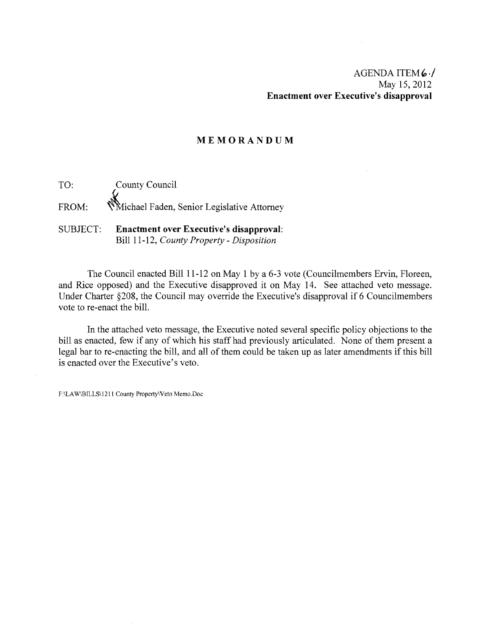## **MEMORANDUM**

TO: County Council FROM: Whichael Faden, Senior Legislative Attorney

## SUBJECT: **Enactment over Executive's disapproval:**  Bill 11-12, *County Property* - *Disposition*

The Council enacted Bill 11-12 on May 1 by a 6-3 vote (Councilmembers Ervin, Floreen, and Rice opposed) and the Executive disapproved it on May 14. See attached veto message. Under Charter §208, the Council may override the Executive's disapproval if 6 Councilmembers vote to re-enact the bill.

In the attached veto message, the Executive noted several specific policy objections to the bill as enacted, few if any of which his staff had previously articulated. None of them present a legal bar to re-enacting the bill, and all of them could be taken up as later amendments if this bill is enacted over the Executive's veto.

F:\LAW\BILLS\1211 County Property\Veto Memo.Doc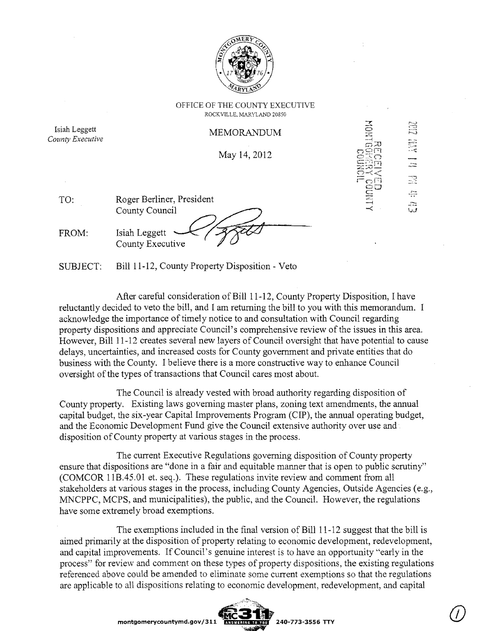

OFFICE OF THE COUNTY EXECUTIVE ROCKVILLE, MARYLAND 20850

Isiah Leggett **MEMORANDUM**<br> *County Executive* 

May 14, 2012

| TO.   | Roger Berliner, President           |
|-------|-------------------------------------|
|       | County Council                      |
| FROM: | Isiah Leggett —<br>County Executive |

SIJBJECT: Bill 11-12, County Property Disposition - Veto

After careful consideration of Bill 11-12, County Property Disposition, I have reluctantly decided to veto the bill, and I am returning the bill to you with this memorandum. I acknowledge the importance of timely notice to and consultation with Council regarding property dispositions and appreciate Council's comprehensive review ofthe issues in this area. However, Bill 11-12 creates several new layers of Council oversight that have potential to cause delays, uncertainties, and increased costs for County government and private entities that do business with the County. I believe there is a more constructive way to enhance Council oversight of the types of transactions that Council cares most about.

The Council is already vested with broad authority regarding disposition of County property. Existing laws governing master plans, zoning text amendments, the annual capital budget, the six-year Capital Improvements Program (CIP), the annual operating budget, and the Economic Development Fund give the Council extensive authority over use and . disposition of County property at various stages in the process.

The current Executive Regulations governing disposition of County property ensure that dispositions are "done in a fair and equitable manner that is open to public scrutiny" (COMCOR I1B.45.01 et. seq.). These regulations invite review and comment from all stakeholders at various stages in the process, including County Agencies, Outside Agencies (e.g., MNCPPC, MCPS, and municipalities), the public, and the Council. However, the regulations have some extremely broad exemptions.

The exemptions included in the final version of Bill 11-12 suggest that the bill is aimed primarily at the disposition of property relating to economic development, redevelopment, and capital improvements. If Council's genuine interest is to have an opportunity "early in the process" for review and comment on these types of property dispositions, the existing regulations referenced above could be amended to eliminate some current exemptions so that the regulations are applicable to all dispositions relating to economic development, redevelopment, and capital

 $\mathbb{R}$ ÷  $\frac{1}{2}$  $\frac{1}{2}$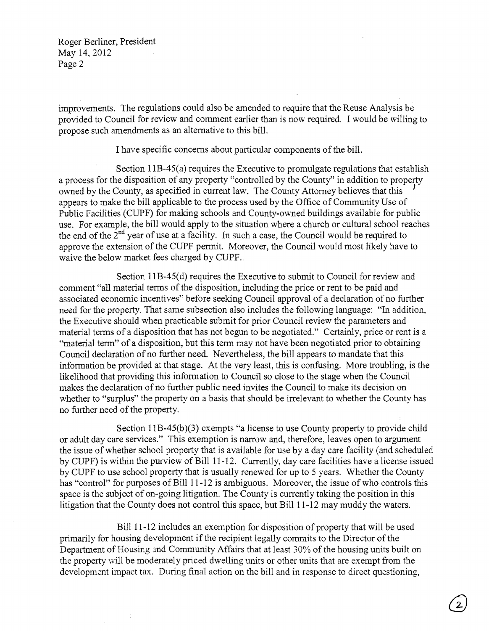Roger Berliner, President May 14,2012 Page 2

improvements. The regulations could also be amended to require that the Reuse Analysis be provided to Council for review and comment earlier than is now required. I would be willing to propose such amendments as an alternative to this bill.

I have specific concerns about particular components ofthe bill.

Section 11B-45(a) requires the Executive to promulgate regulations that establish a process for the disposition of any property "controlled by the County" in addition to property owned by the County, as specified in current law. The County Attorney believes that this I appears to make the bill applicable to the process used by the Office of Community Use of Public Facilities(CUPF) for making schools and County-owned buildings available for public use. For example, the bill would apply to the situation where a church or cultural school reaches the end of the  $2<sup>nd</sup>$  year of use at a facility. In such a case, the Council would be required to approve the extension of the CUPF permit. Moreover, the Council would most likely have to waive the below market fees charged by CUPF..

Section 11B-45(d) requires the Executive to submit to Council for review and comment "all material terms of the disposition, including the price or rent to be paid and associated economic incentives" before seeking Council approval of a declaration of no further need for the property. That same subsection also includes the following language: "In addition, the Executive should when practicable submit for prior Council review the parameters and material terms of a disposition that has not begun to be negotiated." Certainly, price or rent is a "material term" of a disposition, but this term may not have been negotiated prior to obtaining Council declaration of no further need. Nevertheless, the bill appears to mandate that this information be provided at that stage. At the very least, this is confusing. More troubling, is the likelihood that providing this information to Council so close to the stage when the Council makes the declaration of no further public need invites the Council to make its decision on whether to "surplus" the property on a basis that should be irrelevant to whether the County has no further need of the property.

Section I1B-45(b)(3) exempts "a license to use County property to provide child or adult day care services." This exemption is narrow and, therefore, leaves open to argument the issue of whether school property that is available for use by a day care facility (and scheduled by CUPF) is within the purview of Bill 11-12. Currently, day care facilities have a license issued by CUPF to use school property that is usually renewed for up to 5 years. Whether the County has "control" for purposes of Bill 11-12 is ambiguous. Moreover, the issue of who controls this space is the subject of on-going litigation. The County is currently taking the position in this litigation that the County does not control this space, but Bill 11-12 may muddy the waters.

Bi1111-12 includes an exemption for disposition of property that will be used primarily for housing development if the recipient legally commits to the Director of the Department of Housing and Community Affairs that at least 30% of the housing units built on the property will be moderately priced dwelling units or other units that are exempt from the development impact tax. During final action on the bill and in response to direct questioning,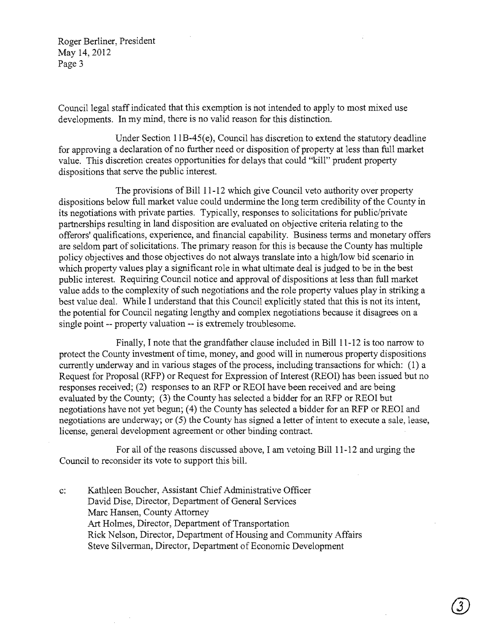Roger Berliner, President May 14, 2012 Page 3

Council legal staff indicated that this exemption is not intended to apply to most mixed use developments. In my mind, there is no valid reason for this distinction.

Under Section 11B-45(e), Council has discretion to extend the statutory deadline for approving a declaration of no further need or disposition of property at less than full market value. This discretion creates opportunities for delays that could "kill" prudent property dispositions that serve the public interest.

The provisions of Bill 11-12 which give Council veto authority over property dispositions below full market value could undermine the long term credibility of the County in its negotiations with private parties. Typically, responses to solicitations for public/private partnerships resulting in land disposition are evaluated on objective criteria relating to the offerors' qualifications, experience, and financial capability. Business terms and monetary offers are seldom part of solicitations. The primary reason for this is because the County has multiple policy objectives and those objectives do not always translate into a high/low bid scenario in which property values play a significant role in what ultimate deal is judged to be in the best public interest. Requiring Council notice and approval of dispositions at less than full market value adds to the complexity of such negotiations and the role property values play in striking a best value deal. While I understand that this Council explicitly stated that this is not its intent, the potential for Council negating lengthy and complex negotiations because it disagrees on a single point -- property valuation **--** is extremely troublesome.

Finally, I note that the grandfather clause included in Bill 11-12 is too narrow to protect the County investment of time, money, and good will in numerous property dispositions currently underway and in various stages of the process, including transactions for which: (1) a Request for Proposal (RFP) or Request for Expression of Interest (REOl) has been issued but no responses received; (2) responses to an RFP or REOl have been received and are being evaluated by the County; (3) the County has selected a bidder for an RFP or REOl but negotiations have not yet begun; (4) the County has selected a bidder for an RFP or REOI and negotiations are underway; or (5) the County has signed a letter of intent to execute a sale, lease, license, general development agreement or other binding contract.

For all of the reasons discussed above, I am vetoing Bill 11-12 and urging the Council to reconsider its vote to support this bill.

c: Kathleen Boucher, Assistant Chief Administrative Officer David Dise, Director, Department of General Services Marc Hansen, County Attorney Art Holmes, Director, Department of Transportation Rick Nelson, Director, Department of Housing and Community Affairs Steve Silverman, Director, Department of Economic Development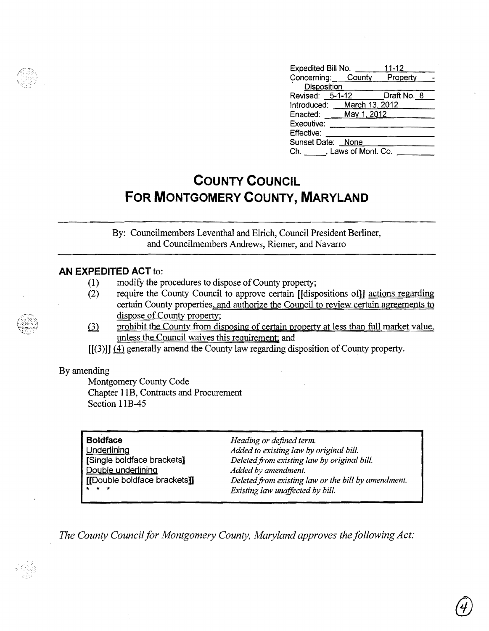| Expedited Bill No.         | $11 - 12$          |
|----------------------------|--------------------|
|                            | Property           |
| Disposition                |                    |
| Revised: 5-1-12            | Draft No._8        |
| Introduced: March 13, 2012 |                    |
| Enacted: May 1, 2012       |                    |
|                            |                    |
|                            |                    |
| Sunset Date: None          |                    |
| Ch. J. Laws of Mont. Co.   |                    |
|                            | Concerning: County |

# **COUNTY COUNCIL FOR MONTGOMERY COUNTY, MARYLAND**

By: Councilmembers Leventhal and EIrich, Council President Berliner, and Councilmembers Andrews, Riemer, and Navarro

# **AN EXPEDITED ACT** to:

- (1) modify the procedures to dispose of County property;
- (2) require the County Council to approve certain [[dispositions of]] actions regarding certain County properties. and authorize the Council to review certain agreements to dispose of County property;
- (3) prohibit the County from disposing of certain property at less than full market value, unless the Council waives this requirement; and
- $[[(3)]] (4)$  generally amend the County law regarding disposition of County property.

## By amending

Montgomery County Code Chapter 11B, Contracts and Procurement Section 11B-45

| <b>Boldface</b>              |
|------------------------------|
| Underlining                  |
| [Single boldface brackets]   |
| Double underlining           |
| [[Double boldface brackets]] |
|                              |

**Boldface** *Heading or defined term.* Added to existing law by original bill. Deleted from existing law by original bill. Added by amendment. Deleted from existing law or the bill by amendment. Existing law unaffected by bill.

*The County Council for Montgomery County, Maryland approves the following Act:* 

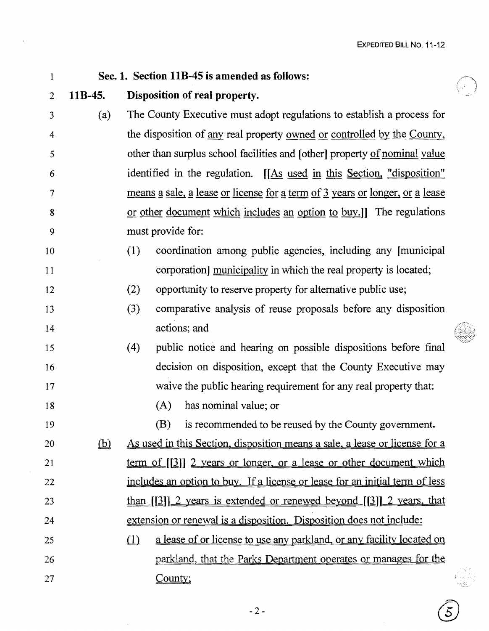$\mathcal{5}_{\mathcal{L}}$ 

 $\hat{\mathcal{A}}$ 

| $\mathbf{1}$   | Sec. 1. Section 11B-45 is amended as follows: |                                                                                                   |  |  |  |
|----------------|-----------------------------------------------|---------------------------------------------------------------------------------------------------|--|--|--|
| $\overline{2}$ | $11B-45.$                                     | Disposition of real property.                                                                     |  |  |  |
| 3              | (a)                                           | The County Executive must adopt regulations to establish a process for                            |  |  |  |
| $\overline{4}$ |                                               | the disposition of <u>any</u> real property <u>owned or controlled by the County</u> ,            |  |  |  |
| 5              |                                               | other than surplus school facilities and [other] property of nominal value                        |  |  |  |
| 6              |                                               | identified in the regulation. [[As used in this Section, "disposition"                            |  |  |  |
| 7              |                                               | means a sale, a lease or license for a term of 3 years or longer, or a lease                      |  |  |  |
| 8              |                                               | or other document which includes an option to buy.]] The regulations                              |  |  |  |
| 9              |                                               | must provide for:                                                                                 |  |  |  |
| 10             |                                               | coordination among public agencies, including any [municipal]<br>(1)                              |  |  |  |
| 11             |                                               | corporation] municipality in which the real property is located;                                  |  |  |  |
| 12             |                                               | (2)<br>opportunity to reserve property for alternative public use;                                |  |  |  |
| 13             |                                               | (3)<br>comparative analysis of reuse proposals before any disposition                             |  |  |  |
| 14             |                                               | actions; and                                                                                      |  |  |  |
| 15             |                                               | public notice and hearing on possible dispositions before final<br>(4)                            |  |  |  |
| 16             |                                               | decision on disposition, except that the County Executive may                                     |  |  |  |
| 17             |                                               | waive the public hearing requirement for any real property that:                                  |  |  |  |
| 18             |                                               | (A)<br>has nominal value; or                                                                      |  |  |  |
| 19             |                                               | (B)<br>is recommended to be reused by the County government.                                      |  |  |  |
| 20             | (b)                                           | <u>As used in this Section, disposition means a sale, a lease or license for a</u>                |  |  |  |
| 21             |                                               | <u>term of [[3]] 2 years or longer, or a lease or other document which</u>                        |  |  |  |
| 22             |                                               | <u>includes an option to buy. If a license or lease for an initial term of less</u>               |  |  |  |
| 23             |                                               | <u>than <math>[3]</math> 2 years is extended or renewed beyond <math>[3]</math> 2 years, that</u> |  |  |  |
| 24             |                                               | extension or renewal is a disposition. Disposition does not include:                              |  |  |  |
| 25             |                                               | <u>a lease of or license to use any parkland, or any facility located on</u><br>$\Box$            |  |  |  |
| 26             |                                               | parkland, that the Parks Department operates or manages for the                                   |  |  |  |
| 27             |                                               | County;                                                                                           |  |  |  |
|                |                                               |                                                                                                   |  |  |  |

 $\mathcal{L}^{\mathcal{L}}$ 

 $\sim$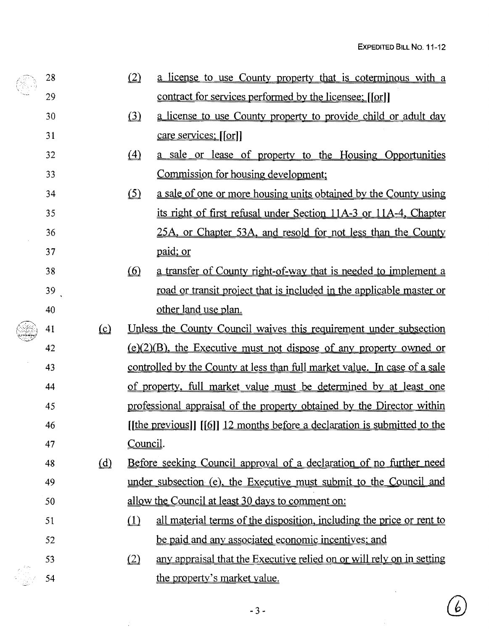$\overline{6}$ 

|  | 28 |          | (2)                                                                | <u>a license to use County property that is coterminous with a</u>                |
|--|----|----------|--------------------------------------------------------------------|-----------------------------------------------------------------------------------|
|  | 29 |          |                                                                    | <u>contract for services performed by the licensee: [[or]</u> ]                   |
|  | 30 |          | $\Omega$                                                           | <u>a license to use County property to provide child or adult day</u>             |
|  | 31 |          |                                                                    | care services; [[or]]                                                             |
|  | 32 |          | $\Delta$                                                           | a sale or lease of property to the Housing Opportunities                          |
|  | 33 |          |                                                                    | Commission for housing development;                                               |
|  | 34 |          | $\circ$                                                            | <u>a sale of one or more housing units obtained by the County using</u>           |
|  | 35 |          |                                                                    | its right of first refusal under Section 11A-3 or 11A-4, Chapter                  |
|  | 36 |          |                                                                    | 25A, or Chapter 53A, and resold for not less than the County                      |
|  | 37 |          |                                                                    | paid; or                                                                          |
|  | 38 |          | $\circ$                                                            | a transfer of County right-of-way that is needed to implement a                   |
|  | 39 |          |                                                                    | <u>road or transit project that is included in the applicable master or</u>       |
|  | 40 |          |                                                                    | other land use plan.                                                              |
|  | 41 | $\Omega$ |                                                                    | <u>Unless the County Council waives this requirement under subsection</u>         |
|  | 42 |          |                                                                    | $(e)(2)(B)$ , the Executive must not dispose of any property owned or             |
|  | 43 |          |                                                                    | <u>controlled by the County at less than full market value. In case of a sale</u> |
|  | 44 |          |                                                                    | <u>of property, full market value must be determined by at least one</u>          |
|  | 45 |          |                                                                    | professional appraisal of the property obtained by the Director within            |
|  | 46 |          |                                                                    | [[the previous]] [[6]] 12 months before a declaration is submitted to the         |
|  | 47 |          | Council.                                                           |                                                                                   |
|  | 48 | $\omega$ |                                                                    | <u>Before seeking Council approval of a declaration of no further need</u>        |
|  | 49 |          | under subsection (e), the Executive must submit to the Council and |                                                                                   |
|  | 50 |          |                                                                    | allow the Council at least 30 days to comment on:                                 |
|  | 51 |          | $\Box$                                                             | all material terms of the disposition, including the price or rent to             |
|  | 52 |          |                                                                    | be paid and any associated economic incentives; and                               |
|  | 53 |          | (2)                                                                | any appraisal that the Executive relied on or will rely on in setting             |
|  | 54 |          |                                                                    | the property's market value.                                                      |

 $\hat{\mathcal{L}}$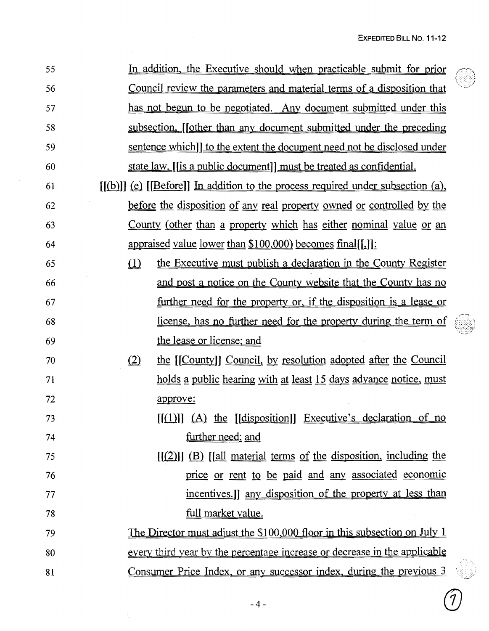| 55 |                                                                                  | In addition, the Executive should when practicable submit for prior            |  |  |  |
|----|----------------------------------------------------------------------------------|--------------------------------------------------------------------------------|--|--|--|
| 56 |                                                                                  | <u>Council review the parameters and material terms of a disposition that</u>  |  |  |  |
| 57 |                                                                                  | has not begun to be negotiated. Any document submitted under this              |  |  |  |
| 58 |                                                                                  | subsection. [[other than any document submitted under the preceding            |  |  |  |
| 59 |                                                                                  | <u>sentence which]] to the extent the document need not be disclosed under</u> |  |  |  |
| 60 | state law, [[is a public document]] must be treated as confidential.             |                                                                                |  |  |  |
| 61 | $[(b)]$ (e) $[Before]$ In addition to the process required under subsection (a), |                                                                                |  |  |  |
| 62 | <u>before the disposition of any real property owned or controlled by the</u>    |                                                                                |  |  |  |
| 63 |                                                                                  | <u>County (other than a property which has either nominal value or an</u>      |  |  |  |
| 64 | appraised value lower than $$100,000$ becomes final[[.]]:                        |                                                                                |  |  |  |
| 65 | $\Box$<br>the Executive must publish a declaration in the County Register        |                                                                                |  |  |  |
| 66 | and post a notice on the County website that the County has no                   |                                                                                |  |  |  |
| 67 | further need for the property or, if the disposition is a lease or               |                                                                                |  |  |  |
| 68 | license, has no further need for the property during the term of                 |                                                                                |  |  |  |
| 69 | the lease or license; and                                                        |                                                                                |  |  |  |
| 70 | (2)<br>the [[County]] Council, by resolution adopted after the Council           |                                                                                |  |  |  |
| 71 | <u>holds a public hearing with at least 15 days advance notice, must</u>         |                                                                                |  |  |  |
| 72 | approve:                                                                         |                                                                                |  |  |  |
| 73 | $[(1)]$ $(A)$ the $[(disposition)]$ Executive's declaration of no                |                                                                                |  |  |  |
| 74 | further need; and                                                                |                                                                                |  |  |  |
| 75 | $[1(2)]$ (B) $[2]$ [[all material terms of the disposition, including the        |                                                                                |  |  |  |
| 76 | price or rent to be paid and any associated economic                             |                                                                                |  |  |  |
| 77 | incentives.] any disposition of the property at less than                        |                                                                                |  |  |  |
| 78 | full market value.                                                               |                                                                                |  |  |  |
| 79 | <u>The Director must adjust the \$100,000 floor in this subsection on July 1</u> |                                                                                |  |  |  |
| 80 | every third year by the percentage increase or decrease in the applicable        |                                                                                |  |  |  |
| 81 | Consumer Price Index, or any successor index, during the previous 3              |                                                                                |  |  |  |

 $\sim$ 

 $\widehat{\mathcal{J}}$ 

 $\bar{z}$ 

 $\mathcal{A}_{\mathbf{r}}$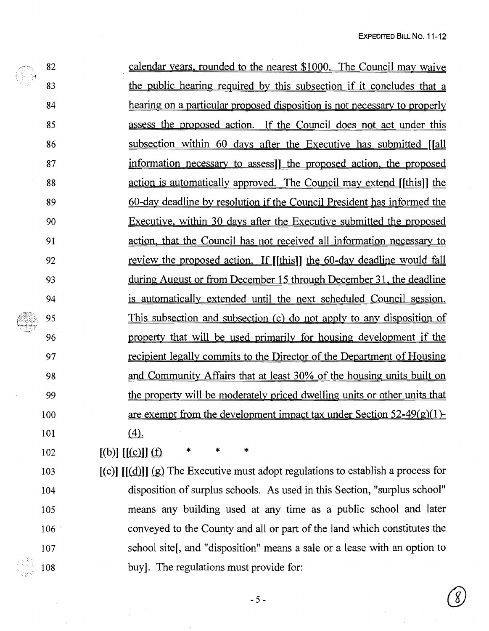|    | 82  | calendar years, rounded to the nearest \$1000. The Council may waive                  |
|----|-----|---------------------------------------------------------------------------------------|
|    | 83  | the public hearing required by this subsection if it concludes that a                 |
|    | 84  | hearing on a particular proposed disposition is not necessary to properly             |
|    | 85  | assess the proposed action. If the Council does not act under this                    |
|    | 86  | subsection within 60 days after the Executive has submitted [[all]                    |
|    | 87  | information necessary to assess] the proposed action, the proposed                    |
|    | 88  | action is automatically approved. The Council may extend [[this]] the                 |
|    | 89  | 60-day deadline by resolution if the Council President has informed the               |
|    | 90  | Executive, within 30 days after the Executive submitted the proposed                  |
|    | 91  | action, that the Council has not received all information necessary to                |
|    | 92  | review the proposed action. If [[this]] the 60-day deadline would fall                |
|    | 93  | <u>during August or from December 15 through December 31, the deadline</u>            |
| 94 |     | is automatically extended until the next scheduled Council session.                   |
|    | 95  | This subsection and subsection (c) do not apply to any disposition of                 |
|    | 96  | property that will be used primarily for housing development if the                   |
|    | 97  | recipient legally commits to the Director of the Department of Housing                |
|    | 98  | and Community Affairs that at least 30% of the housing units built on                 |
|    | 99  | the property will be moderately priced dwelling units or other units that             |
|    | 100 | are exempt from the development impact tax under Section $52-49(g)(1)$                |
|    | 101 | (4)                                                                                   |
|    | 102 | $\ast$<br>$\star$<br>*<br>$[(b)]$ $[(c)]$ $(f)$                                       |
|    | 103 | $[(c)]$ $[(d)]$ $(p)$ The Executive must adopt regulations to establish a process for |

c)]  $\left[\frac{a}{a}\right]$  [ $\left[\frac{a}{b}\right]$  The Executive must adopt regulations to establish a 104 disposition of surplus schools. As used in this Section, "surplus school" 105 means any building used at any time as a public school and later 106 . conveyed to the County and all or part of the land which constitutes the 107 school site<sup>[, and</sup> "disposition" means a sale or a lease with an option to 108 buy]. The regulations must provide for: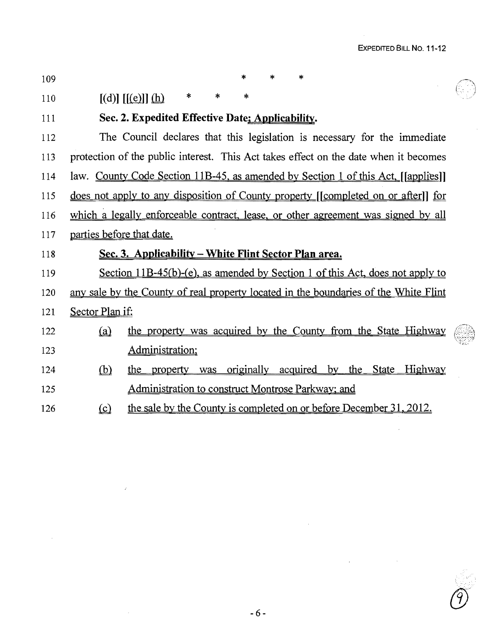$\sim$   $\sim$ 

 $\sim$ 

| 109 | *<br>$\star$<br>*                                                                    |
|-----|--------------------------------------------------------------------------------------|
| 110 | *<br>*<br>×.<br>$[(d)]$ $[(e)]$ $(h)$                                                |
| 111 | Sec. 2. Expedited Effective Date; Applicability.                                     |
| 112 | The Council declares that this legislation is necessary for the immediate            |
| 113 | protection of the public interest. This Act takes effect on the date when it becomes |
| 114 | law. County Code Section 11B-45, as amended by Section 1 of this Act, [[applies]]    |
| 115 | does not apply to any disposition of County property ([completed on or after]] for   |
| 116 | which a legally enforceable contract, lease, or other agreement was signed by all    |
| 117 | parties before that date.                                                            |
| 118 | Sec. 3. Applicability – White Flint Sector Plan area.                                |
| 119 | Section 11B-45(b)-(e), as amended by Section 1 of this Act, does not apply to        |
| 120 | any sale by the County of real property located in the boundaries of the White Flint |
| 121 |                                                                                      |
|     | Sector Plan if:                                                                      |
| 122 | the property was acquired by the County from the State Highway<br>(a)                |
| 123 | Administration;                                                                      |
| 124 | Highway<br>(b)<br>property was originally<br>acquired by the State<br>the            |
| 125 | Administration to construct Montrose Parkway; and                                    |

 $-6 -$ 

 $\bar{\beta}$ 

 $\mathcal{L}^{\text{max}}$ 

 $\hat{\vec{r}}$ 

 $\sim$